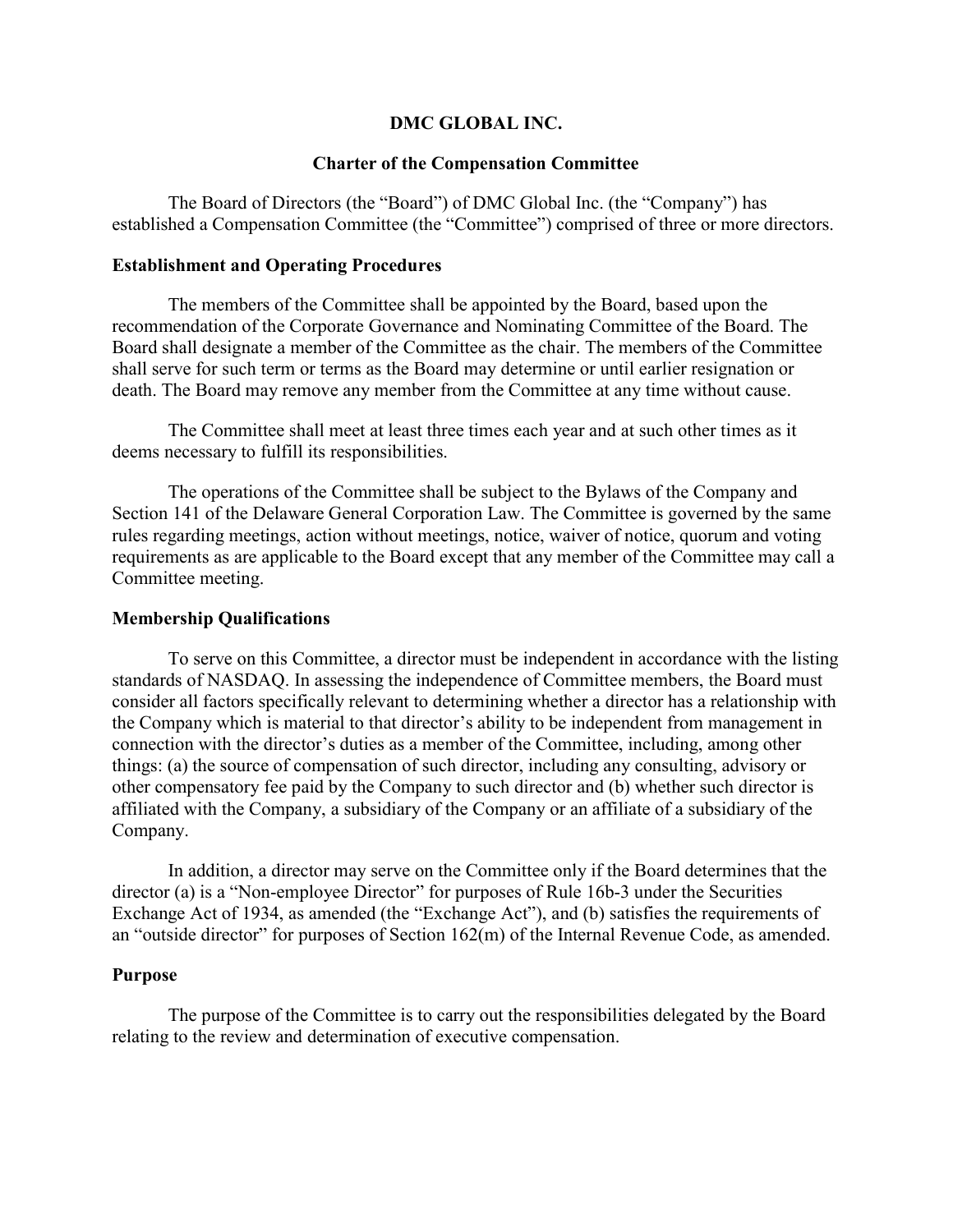## DMC GLOBAL INC.

### Charter of the Compensation Committee

The Board of Directors (the "Board") of DMC Global Inc. (the "Company") has established a Compensation Committee (the "Committee") comprised of three or more directors.

#### Establishment and Operating Procedures

The members of the Committee shall be appointed by the Board, based upon the recommendation of the Corporate Governance and Nominating Committee of the Board. The Board shall designate a member of the Committee as the chair. The members of the Committee shall serve for such term or terms as the Board may determine or until earlier resignation or death. The Board may remove any member from the Committee at any time without cause.

The Committee shall meet at least three times each year and at such other times as it deems necessary to fulfill its responsibilities.

The operations of the Committee shall be subject to the Bylaws of the Company and Section 141 of the Delaware General Corporation Law. The Committee is governed by the same rules regarding meetings, action without meetings, notice, waiver of notice, quorum and voting requirements as are applicable to the Board except that any member of the Committee may call a Committee meeting.

#### Membership Qualifications

To serve on this Committee, a director must be independent in accordance with the listing standards of NASDAQ. In assessing the independence of Committee members, the Board must consider all factors specifically relevant to determining whether a director has a relationship with the Company which is material to that director's ability to be independent from management in connection with the director's duties as a member of the Committee, including, among other things: (a) the source of compensation of such director, including any consulting, advisory or other compensatory fee paid by the Company to such director and (b) whether such director is affiliated with the Company, a subsidiary of the Company or an affiliate of a subsidiary of the Company.

In addition, a director may serve on the Committee only if the Board determines that the director (a) is a "Non-employee Director" for purposes of Rule 16b-3 under the Securities Exchange Act of 1934, as amended (the "Exchange Act"), and (b) satisfies the requirements of an "outside director" for purposes of Section 162(m) of the Internal Revenue Code, as amended.

### Purpose

The purpose of the Committee is to carry out the responsibilities delegated by the Board relating to the review and determination of executive compensation.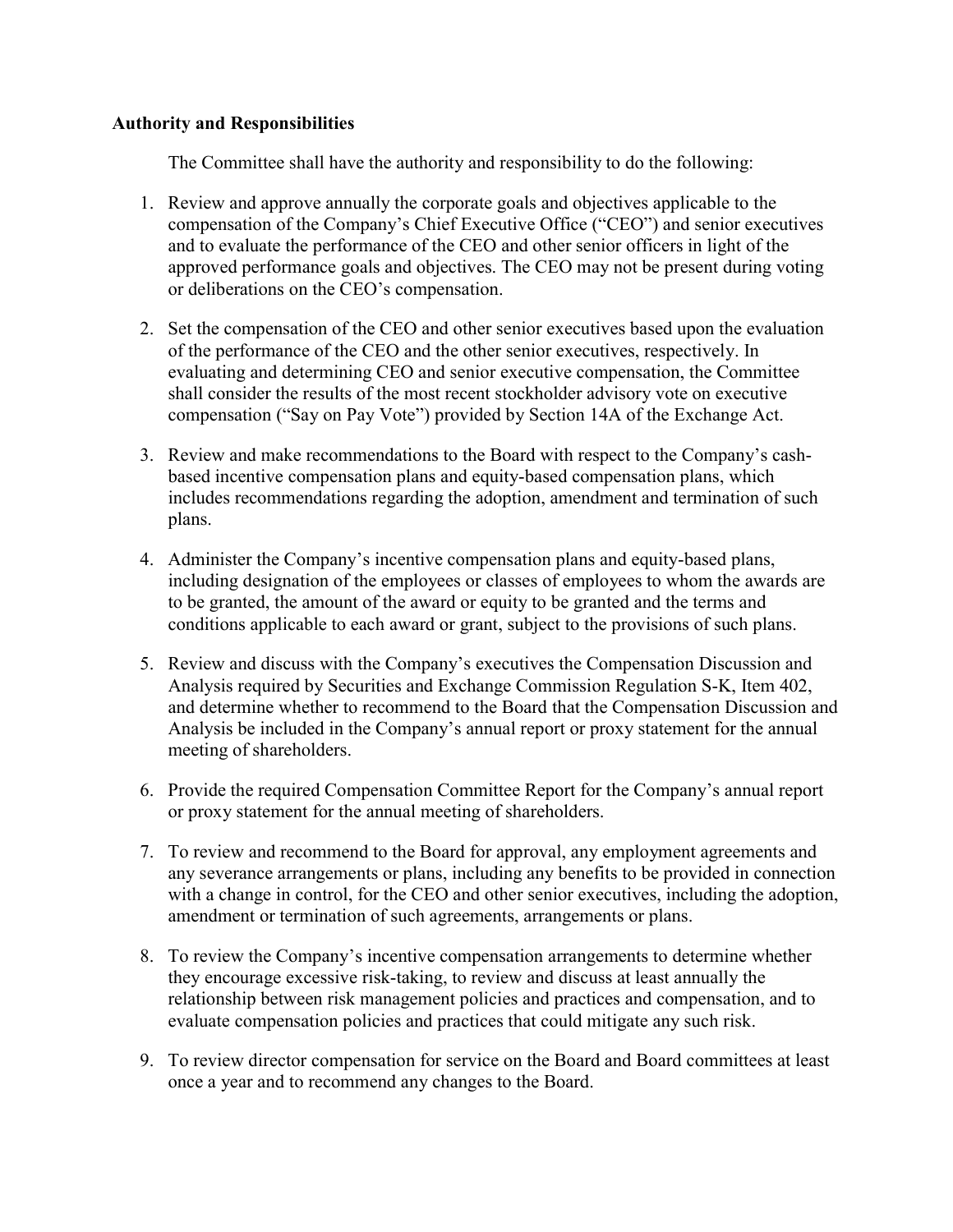# Authority and Responsibilities

The Committee shall have the authority and responsibility to do the following:

- 1. Review and approve annually the corporate goals and objectives applicable to the compensation of the Company's Chief Executive Office ("CEO") and senior executives and to evaluate the performance of the CEO and other senior officers in light of the approved performance goals and objectives. The CEO may not be present during voting or deliberations on the CEO's compensation.
- 2. Set the compensation of the CEO and other senior executives based upon the evaluation of the performance of the CEO and the other senior executives, respectively. In evaluating and determining CEO and senior executive compensation, the Committee shall consider the results of the most recent stockholder advisory vote on executive compensation ("Say on Pay Vote") provided by Section 14A of the Exchange Act.
- 3. Review and make recommendations to the Board with respect to the Company's cashbased incentive compensation plans and equity-based compensation plans, which includes recommendations regarding the adoption, amendment and termination of such plans.
- 4. Administer the Company's incentive compensation plans and equity-based plans, including designation of the employees or classes of employees to whom the awards are to be granted, the amount of the award or equity to be granted and the terms and conditions applicable to each award or grant, subject to the provisions of such plans.
- 5. Review and discuss with the Company's executives the Compensation Discussion and Analysis required by Securities and Exchange Commission Regulation S-K, Item 402, and determine whether to recommend to the Board that the Compensation Discussion and Analysis be included in the Company's annual report or proxy statement for the annual meeting of shareholders.
- 6. Provide the required Compensation Committee Report for the Company's annual report or proxy statement for the annual meeting of shareholders.
- 7. To review and recommend to the Board for approval, any employment agreements and any severance arrangements or plans, including any benefits to be provided in connection with a change in control, for the CEO and other senior executives, including the adoption, amendment or termination of such agreements, arrangements or plans.
- 8. To review the Company's incentive compensation arrangements to determine whether they encourage excessive risk-taking, to review and discuss at least annually the relationship between risk management policies and practices and compensation, and to evaluate compensation policies and practices that could mitigate any such risk.
- 9. To review director compensation for service on the Board and Board committees at least once a year and to recommend any changes to the Board.